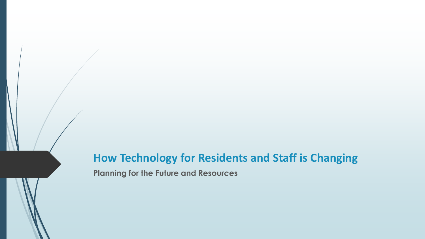### **How Technology for Residents and Staff is Changing Planning for the Future and Resources**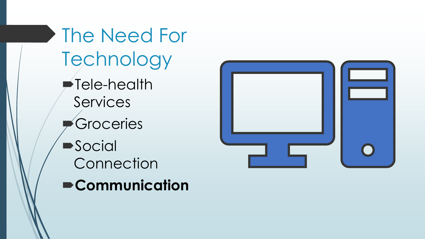The Need For Technology Tele-health Services Groceries **Social Connection Communication**

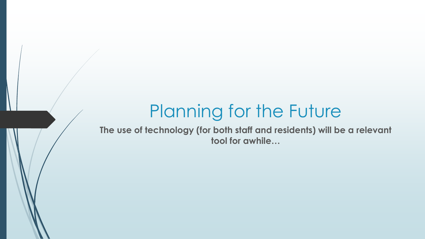# Planning for the Future

**The use of technology (for both staff and residents) will be a relevant tool for awhile…**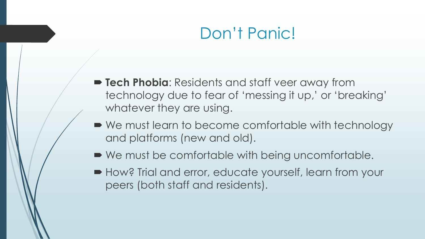### Don't Panic!

- **Tech Phobia**: Residents and staff veer away from technology due to fear of 'messing it up,' or 'breaking' whatever they are using.
- We must learn to become comfortable with technology and platforms (new and old).
- We must be comfortable with being uncomfortable.
- How? Trial and error, educate yourself, learn from your peers (both staff and residents).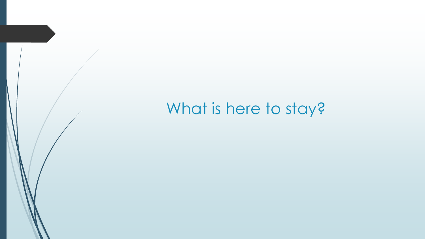# What is here to stay?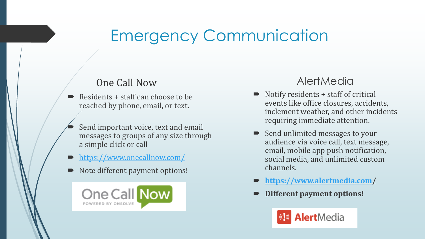# Emergency Communication

#### One Call Now

- $\blacktriangleright$  Residents + staff can choose to be reached by phone, email, or text.
	- Send important voice, text and email messages to groups of any size through a simple click or call
- <https://www.onecallnow.com/>
- Note different payment options!



#### **AlertMedia**

- $\blacksquare$  Notify residents  $+$  staff of critical events like office closures, accidents, inclement weather, and other incidents requiring immediate attention.
- Send unlimited messages to your audience via voice call, text message, email, mobile app push notification, social media, and unlimited custom channels.
- **<https://www.alertmedia.com/>**
- **Different payment options!**

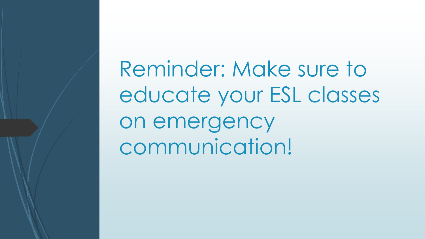Reminder: Make sure to educate your ESL classes on emergency communication!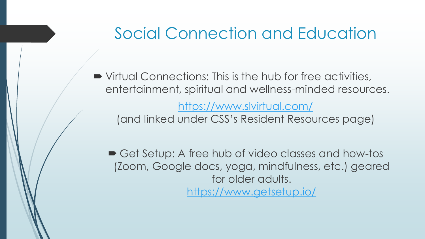### Social Connection and Education

 Virtual Connections: This is the hub for free activities, entertainment, spiritual and wellness-minded resources.

<https://www.slvirtual.com/>

(and linked under CSS's Resident Resources page)

■ Get Setup: A free hub of video classes and how-tos (Zoom, Google docs, yoga, mindfulness, etc.) geared for older adults. <https://www.getsetup.io/>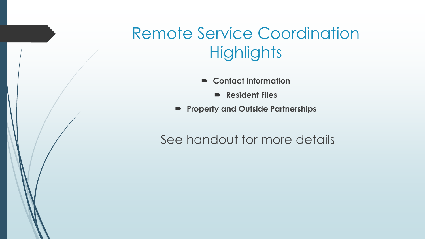# Remote Service Coordination **Highlights**

- **Contact Information**
	- **Resident Files**
- **Property and Outside Partnerships**

### See handout for more details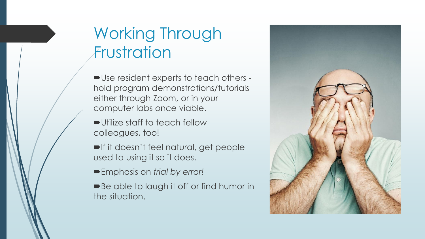## Working Through Frustration

Use resident experts to teach others hold program demonstrations/tutorials either through Zoom, or in your computer labs once viable.

- Utilize staff to teach fellow colleagues, too!
- If it doesn't feel natural, get people used to using it so it does.
- Emphasis on *trial by error!*
- ■Be able to laugh it off or find humor in the situation.